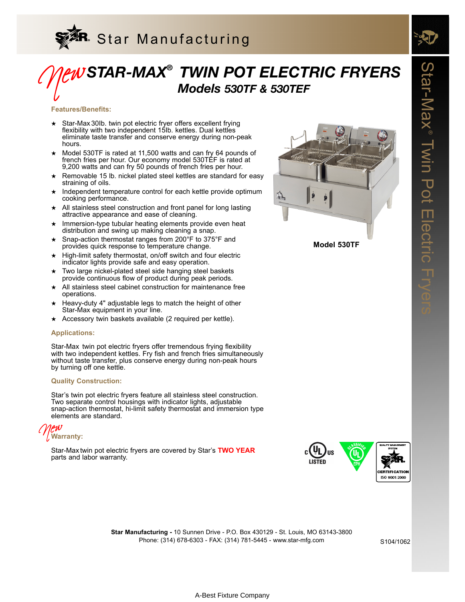

## *STAR-MAX® TWIN POT ELECTRIC FRYERS Models 530TF & 530TEF* New

### **Features/Benefits:**

- ★ Star-Max 30Ib. twin pot electric fryer offers excellent frying flexibility with two independent 15Ib. kettles. Dual kettles eliminate taste transfer and conserve energy during non-peak hours.
- ★ Model 530TF is rated at 11,500 watts and can fry 64 pounds of french fries per hour. Our economy model 530TEF is rated at 9,200 watts and can fry 50 pounds of french fries per hour.
- Removable 15 lb. nickel plated steel kettles are standard for easy straining of oils.
- Independent temperature control for each kettle provide optimum cooking performance.
- ★ All stainless steel construction and front panel for long lasting attractive appearance and ease of cleaning.
- ★ Immersion-type tubular heating elements provide even heat distribution and swing up making cleaning a snap.
- ★ Snap-action thermostat ranges from 200°F to 375°F and provides quick response to temperature change.
- ★ High-limit safety thermostat, on/off switch and four electric indicator lights provide safe and easy operation.
- Two large nickel-plated steel side hanging steel baskets provide continuous flow of product during peak periods.
- ★ All stainless steel cabinet construction for maintenance free operations.
- ★ Heavy-duty 4" adjustable legs to match the height of other Star-Max equipment in your line.
- ★ Accessory twin baskets available (2 required per kettle).

### **Applications:**

Star-Max twin pot electric fryers offer tremendous frying flexibility with two independent kettles. Fry fish and french fries simultaneously without taste transfer, plus conserve energy during non-peak hours by turning off one kettle.

### **Quality Construction:**

Star's twin pot electric fryers feature all stainless steel construction. Two separate control housings with indicator lights, adjustable snap-action thermostat, hi-limit safety thermostat and immersion type elements are standard.



Star-Max twin pot electric fryers are covered by Star's **TWO YEAR** parts and labor warranty.



**Model 530TF**



Phone: (314) 678-6303 - FAX: (314) 781-5445 - www.star-mfg.com **Star Manufacturing -** 10 Sunnen Drive - P.O. Box 430129 - St. Louis, MO 63143-3800

S104/1062